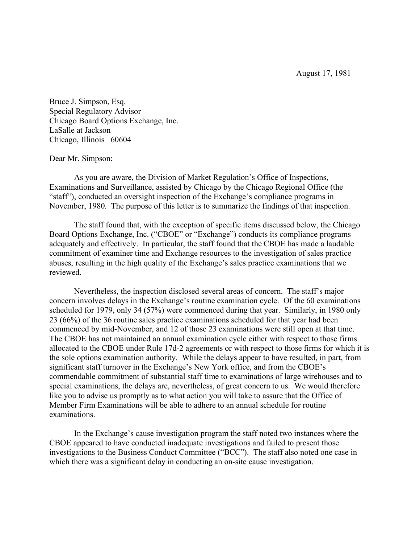August 17, 1981

Bruce J. Simpson, Esq. Special Regulatory Advisor Chicago Board Options Exchange, Inc. LaSalle at Jackson Chicago, Illinois 60604

## Dear Mr. Simpson:

As you are aware, the Division of Market Regulation's Office of Inspections, Examinations and Surveillance, assisted by Chicago by the Chicago Regional Office (the "staff"), conducted an oversight inspection of the Exchange's compliance programs in November, 1980. The purpose of this letter is to summarize the findings of that inspection.

The staff found that, with the exception of specific items discussed below, the Chicago Board Options Exchange, Inc. ("CBOE" or "Exchange") conducts its compliance programs adequately and effectively. In particular, the staff found that the CBOE has made a laudable commitment of examiner time and Exchange resources to the investigation of sales practice abuses, resulting in the high quality of the Exchange's sales practice examinations that we reviewed.

Nevertheless, the inspection disclosed several areas of concern. The staff's major concern involves delays in the Exchange's routine examination cycle. Of the 60 examinations scheduled for 1979, only 34 (57%) were commenced during that year. Similarly, in 1980 only 23 (66%) of the 36 routine sales practice examinations scheduled for that year had been commenced by mid-November, and 12 of those 23 examinations were still open at that time. The CBOE has not maintained an annual examination cycle either with respect to those firms allocated to the CBOE under Rule 17d-2 agreements or with respect to those firms for which it is the sole options examination authority. While the delays appear to have resulted, in part, from significant staff turnover in the Exchange's New York office, and from the CBOE's commendable commitment of substantial staff time to examinations of large wirehouses and to special examinations, the delays are, nevertheless, of great concern to us. We would therefore like you to advise us promptly as to what action you will take to assure that the Office of Member Firm Examinations will be able to adhere to an annual schedule for routine examinations.

In the Exchange's cause investigation program the staff noted two instances where the CBOE appeared to have conducted inadequate investigations and failed to present those investigations to the Business Conduct Committee ("BCC"). The staff also noted one case in which there was a significant delay in conducting an on-site cause investigation.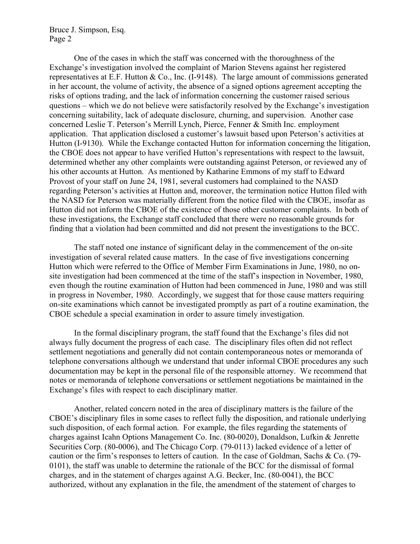Bruce J. Simpson, Esq. Page 2

One of the cases in which the staff was concerned with the thoroughness of the Exchange's investigation involved the complaint of Marion Stevens against her registered representatives at E.F. Hutton & Co., Inc. (I-9148). The large amount of commissions generated in her account, the volume of activity, the absence of a signed options agreement accepting the risks of options trading, and the lack of information concerning the customer raised serious questions – which we do not believe were satisfactorily resolved by the Exchange's investigation concerning suitability, lack of adequate disclosure, churning, and supervision. Another case concerned Leslie T. Peterson's Merrill Lynch, Pierce, Fenner & Smith Inc. employment application. That application disclosed a customer's lawsuit based upon Peterson's activities at Hutton (I-9130). While the Exchange contacted Hutton for information concerning the litigation, the CBOE does not appear to have verified Hutton's representations with respect to the lawsuit, determined whether any other complaints were outstanding against Peterson, or reviewed any of his other accounts at Hutton. As mentioned by Katharine Emmons of my staff to Edward Provost of your staff on June 24, 1981, several customers had complained to the NASD regarding Peterson's activities at Hutton and, moreover, the termination notice Hutton filed with the NASD for Peterson was materially different from the notice filed with the CBOE, insofar as Hutton did not inform the CBOE of the existence of those other customer complaints. In both of these investigations, the Exchange staff concluded that there were no reasonable grounds for finding that a violation had been committed and did not present the investigations to the BCC.

The staff noted one instance of significant delay in the commencement of the on-site investigation of several related cause matters. In the case of five investigations concerning Hutton which were referred to the Office of Member Firm Examinations in June, 1980, no onsite investigation had been commenced at the time of the staff's inspection in November, 1980, even though the routine examination of Hutton had been commenced in June, 1980 and was still in progress in November, 1980. Accordingly, we suggest that for those cause matters requiring on-site examinations which cannot be investigated promptly as part of a routine examination, the CBOE schedule a special examination in order to assure timely investigation.

In the formal disciplinary program, the staff found that the Exchange's files did not always fully document the progress of each case. The disciplinary files often did not reflect settlement negotiations and generally did not contain contemporaneous notes or memoranda of telephone conversations although we understand that under informal CBOE procedures any such documentation may be kept in the personal file of the responsible attorney. We recommend that notes or memoranda of telephone conversations or settlement negotiations be maintained in the Exchange's files with respect to each disciplinary matter.

Another, related concern noted in the area of disciplinary matters is the failure of the CBOE's disciplinary files in some cases to reflect fully the disposition, and rationale underlying such disposition, of each formal action. For example, the files regarding the statements of charges against Icahn Options Management Co. Inc. (80-0020), Donaldson, Lufkin & Jenrette Securities Corp. (80-0006), and The Chicago Corp. (79-0113) lacked evidence of a letter of caution or the firm's responses to letters of caution. In the case of Goldman, Sachs & Co. (79- 0101), the staff was unable to determine the rationale of the BCC for the dismissal of formal charges, and in the statement of charges against A.G. Becker, Inc. (80-0041), the BCC authorized, without any explanation in the file, the amendment of the statement of charges to